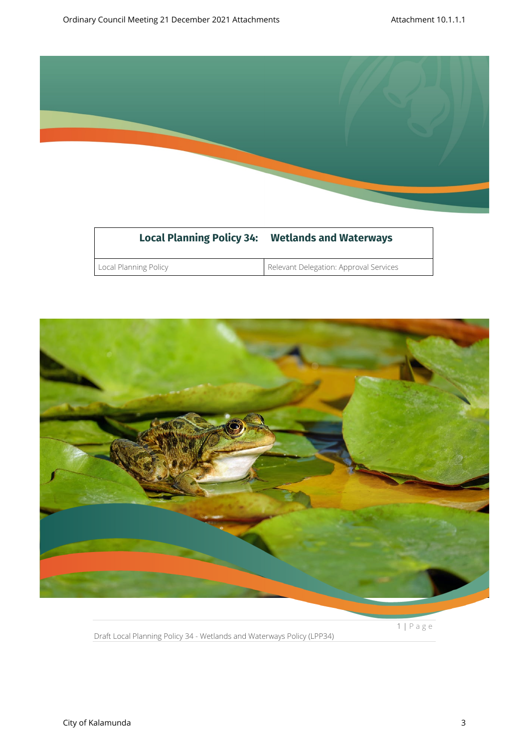

| <b>Wetlands and Waterways</b>          |
|----------------------------------------|
| Relevant Delegation: Approval Services |
|                                        |

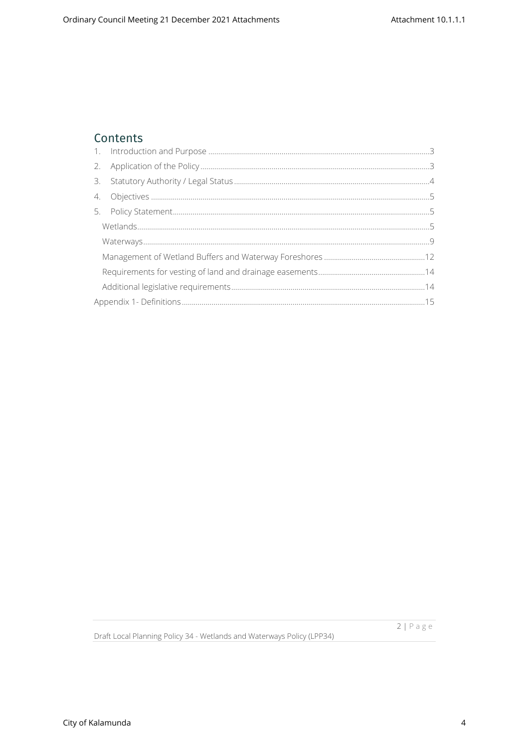# Contents

Draft Local Planning Policy 34 - Wetlands and Waterways Policy (LPP34)

 $2 | Page$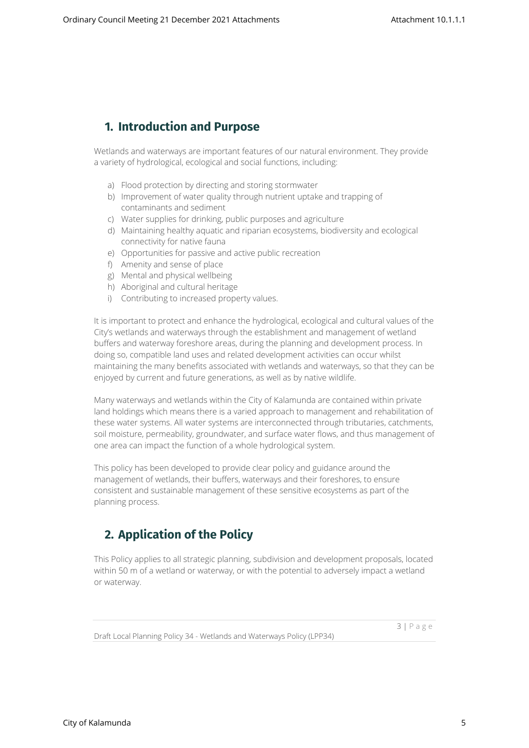# <span id="page-2-0"></span>**1. Introduction and Purpose**

Wetlands and waterways are important features of our natural environment. They provide a variety of hydrological, ecological and social functions, including:

- a) Flood protection by directing and storing stormwater
- b) Improvement of water quality through nutrient uptake and trapping of contaminants and sediment
- c) Water supplies for drinking, public purposes and agriculture
- d) Maintaining healthy aquatic and riparian ecosystems, biodiversity and ecological connectivity for native fauna
- e) Opportunities for passive and active public recreation
- f) Amenity and sense of place
- g) Mental and physical wellbeing
- h) Aboriginal and cultural heritage
- i) Contributing to increased property values.

It is important to protect and enhance the hydrological, ecological and cultural values of the City's wetlands and waterways through the establishment and management of wetland buffers and waterway foreshore areas, during the planning and development process. In doing so, compatible land uses and related development activities can occur whilst maintaining the many benefits associated with wetlands and waterways, so that they can be enjoyed by current and future generations, as well as by native wildlife.

Many waterways and wetlands within the City of Kalamunda are contained within private land holdings which means there is a varied approach to management and rehabilitation of these water systems. All water systems are interconnected through tributaries, catchments, soil moisture, permeability, groundwater, and surface water flows, and thus management of one area can impact the function of a whole hydrological system.

This policy has been developed to provide clear policy and guidance around the management of wetlands, their buffers, waterways and their foreshores, to ensure consistent and sustainable management of these sensitive ecosystems as part of the planning process.

# **2. Application of the Policy**

<span id="page-2-1"></span>This Policy applies to all strategic planning, subdivision and development proposals, located within 50 m of a wetland or waterway, or with the potential to adversely impact a wetland or waterway.

3 | P a g e

Draft Local Planning Policy 34 - Wetlands and Waterways Policy (LPP34)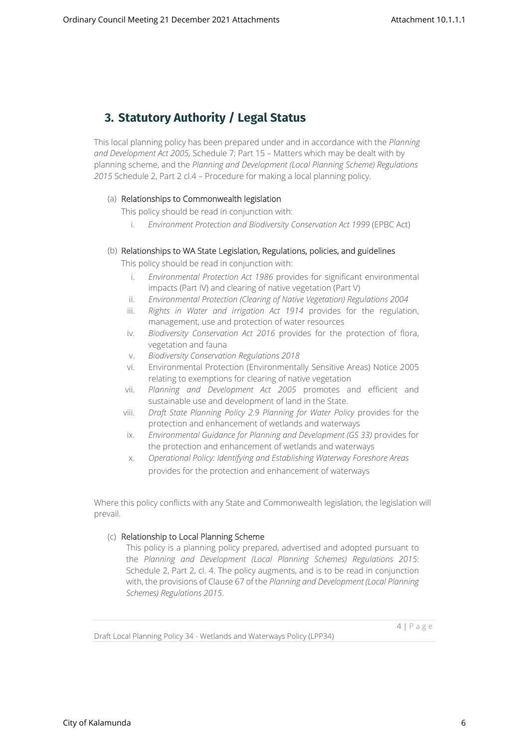# <span id="page-3-0"></span>**3. Statutory Authority / Legal Status**

This local planning policy has been prepared under and in accordance with the *Planning and Development Act 2005,* Schedule 7; Part 15 – Matters which may be dealt with by planning scheme, and the *Planning and Development (Local Planning Scheme) Regulations 2015* Schedule 2, Part 2 cl.4 – Procedure for making a local planning policy.

### (a) **Relationships to Commonwealth legislation**

This policy should be read in conjunction with:

i. *Environment Protection and Biodiversity Conservation Act 1999* (EPBC Act)

#### (b) **Relationships to WA State Legislation, Regulations, policies, and guidelines**

This policy should be read in conjunction with:

- i. *Environmental Protection Act 1986* provides for significant environmental impacts (Part IV) and clearing of native vegetation (Part V)
- ii. *Environmental Protection (Clearing of Native Vegetation) Regulations 2004*
- iii. *Rights in Water and irrigation Act 1914* provides for the regulation, management, use and protection of water resources
- iv. *Biodiversity Conservation Act 2016* provides for the protection of flora, vegetation and fauna
- v. *Biodiversity Conservation Regulations 2018*
- vi. Environmental Protection (Environmentally Sensitive Areas) Notice 2005 relating to exemptions for clearing of native vegetation
- vii. *Planning and Development Act 2005* promotes and efficient and sustainable use and development of land in the State.
- viii. *Draft State Planning Policy 2.9 Planning for Water Policy* provides for the protection and enhancement of wetlands and waterways
- ix. *Environmental Guidance for Planning and Development (GS 33)* provides for the protection and enhancement of wetlands and waterways
- x. *Operational Policy: Identifying and Establishing Waterway Foreshore Areas*  provides for the protection and enhancement of waterways

Where this policy conflicts with any State and Commonwealth legislation, the legislation will prevail.

### (c) **Relationship to Local Planning Scheme**

This policy is a planning policy prepared, advertised and adopted pursuant to the *Planning and Development (Local Planning Schemes) Regulations 2015*: Schedule 2, Part 2, cl. 4. The policy augments, and is to be read in conjunction with, the provisions of Clause 67 of the *Planning and Development (Local Planning Schemes) Regulations 2015*.

Draft Local Planning Policy 34 - Wetlands and Waterways Policy (LPP34)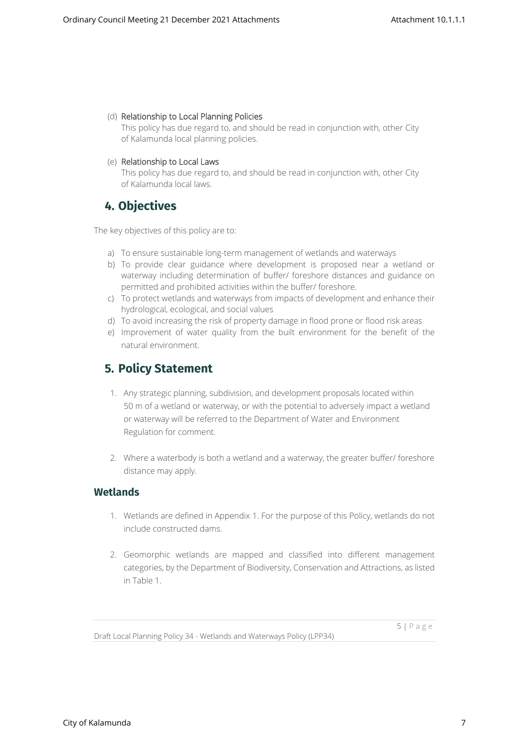### (d) **Relationship to Local Planning Policies**

This policy has due regard to, and should be read in conjunction with, other City of Kalamunda local planning policies.

### <span id="page-4-0"></span>(e) **Relationship to Local Laws**

This policy has due regard to, and should be read in conjunction with, other City of Kalamunda local laws.

# **4. Objectives**

The key objectives of this policy are to:

- a) To ensure sustainable long-term management of wetlands and waterways
- b) To provide clear guidance where development is proposed near a wetland or waterway including determination of buffer/ foreshore distances and guidance on permitted and prohibited activities within the buffer/ foreshore.
- c) To protect wetlands and waterways from impacts of development and enhance their hydrological, ecological, and social values
- d) To avoid increasing the risk of property damage in flood prone or flood risk areas
- e) Improvement of water quality from the built environment for the benefit of the natural environment.

# <span id="page-4-1"></span>**5. Policy Statement**

- 1. Any strategic planning, subdivision, and development proposals located within 50 m of a wetland or waterway, or with the potential to adversely impact a wetland or waterway will be referred to the Department of Water and Environment Regulation for comment.
- 2. Where a waterbody is both a wetland and a waterway, the greater buffer/ foreshore distance may apply.

## <span id="page-4-2"></span>**Wetlands**

- 1. Wetlands are defined in Appendix 1. For the purpose of this Policy, wetlands do not include constructed dams.
- 2. Geomorphic wetlands are mapped and classified into different management categories, by the Department of Biodiversity, Conservation and Attractions, as listed in [Table 1.](#page-5-0)

Draft Local Planning Policy 34 - Wetlands and Waterways Policy (LPP34)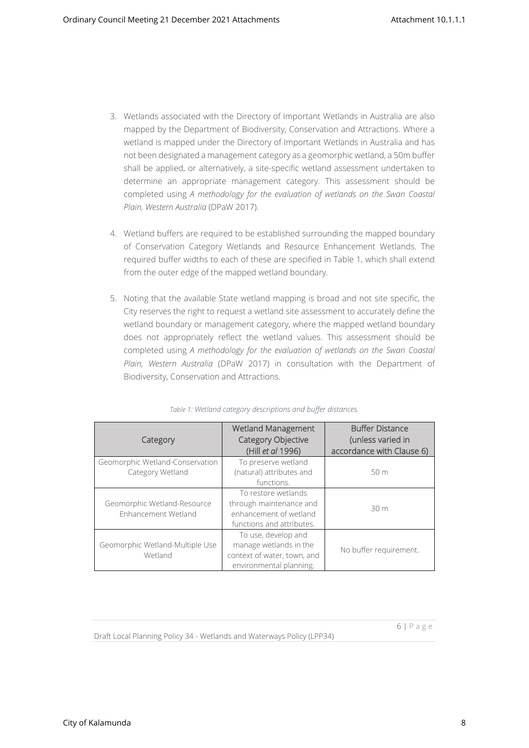- 3. Wetlands associated with the Directory of Important Wetlands in Australia are also mapped by the Department of Biodiversity, Conservation and Attractions. Where a wetland is mapped under the Directory of Important Wetlands in Australia and has not been designated a management category as a geomorphic wetland, a 50m buffer shall be applied, or alternatively, a site-specific wetland assessment undertaken to determine an appropriate management category. This assessment should be completed using *A methodology for the evaluation of wetlands on the Swan Coastal Plain, Western Australia* (DPaW 2017).
- 4. Wetland buffers are required to be established surrounding the mapped boundary of Conservation Category Wetlands and Resource Enhancement Wetlands. The required buffer widths to each of these are specified in [Table 1](#page-5-0), which shall extend from the outer edge of the mapped wetland boundary.
- 5. Noting that the available State wetland mapping is broad and not site specific, the City reserves the right to request a wetland site assessment to accurately define the wetland boundary or management category, where the mapped wetland boundary does not appropriately reflect the wetland values. This assessment should be completed using *A methodology for the evaluation of wetlands on the Swan Coastal Plain, Western Australia* (DPaW 2017) in consultation with the Department of Biodiversity, Conservation and Attractions.

| Category                                            | Wetland Management<br>Category Objective<br>(Hill et al 1996)                                           | <b>Buffer Distance</b><br>(unless varied in<br>accordance with Clause 6) |
|-----------------------------------------------------|---------------------------------------------------------------------------------------------------------|--------------------------------------------------------------------------|
| Geomorphic Wetland-Conservation<br>Category Wetland | To preserve wetland<br>(natural) attributes and<br>functions.                                           | 50 <sub>m</sub>                                                          |
| Geomorphic Wetland-Resource<br>Enhancement Wetland  | To restore wetlands<br>through maintenance and<br>enhancement of wetland<br>functions and attributes.   | 30 <sub>m</sub>                                                          |
| Geomorphic Wetland-Multiple Use<br>Wetland          | To use, develop and<br>manage wetlands in the<br>context of water, town, and<br>environmental planning. | No buffer requirement.                                                   |

#### <span id="page-5-0"></span>*Table 1: Wetland category descriptions and buffer distances.*

Draft Local Planning Policy 34 - Wetlands and Waterways Policy (LPP34)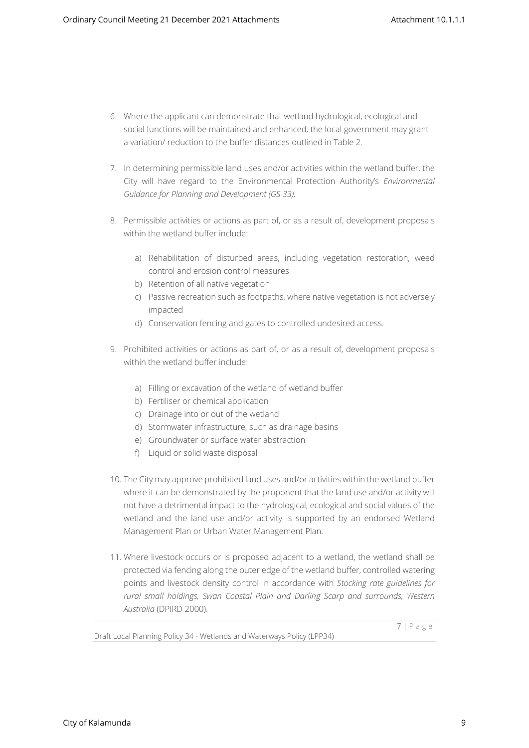- 6. Where the applicant can demonstrate that wetland hydrological, ecological and social functions will be maintained and enhanced, the local government may grant a variation/ reduction to the buffer distances outlined in Table 2.
- 7. In determining permissible land uses and/or activities within the wetland buffer, the City will have regard to the Environmental Protection Authority's *Environmental Guidance for Planning and Development (GS 33).*
- 8. Permissible activities or actions as part of, or as a result of, development proposals within the wetland buffer include:
	- a) Rehabilitation of disturbed areas, including vegetation restoration, weed control and erosion control measures
	- b) Retention of all native vegetation
	- c) Passive recreation such as footpaths, where native vegetation is not adversely impacted
	- d) Conservation fencing and gates to controlled undesired access.
- 9. Prohibited activities or actions as part of, or as a result of, development proposals within the wetland buffer include:
	- a) Filling or excavation of the wetland of wetland buffer
	- b) Fertiliser or chemical application
	- c) Drainage into or out of the wetland
	- d) Stormwater infrastructure, such as drainage basins
	- e) Groundwater or surface water abstraction
	- f) Liquid or solid waste disposal
- 10. The City may approve prohibited land uses and/or activities within the wetland buffer where it can be demonstrated by the proponent that the land use and/or activity will not have a detrimental impact to the hydrological, ecological and social values of the wetland and the land use and/or activity is supported by an endorsed Wetland Management Plan or Urban Water Management Plan.
- 11. Where livestock occurs or is proposed adjacent to a wetland, the wetland shall be protected via fencing along the outer edge of the wetland buffer, controlled watering points and livestock density control in accordance with *Stocking rate guidelines for rural small holdings, Swan Coastal Plain and Darling Scarp and surrounds, Western Australia* (DPIRD 2000).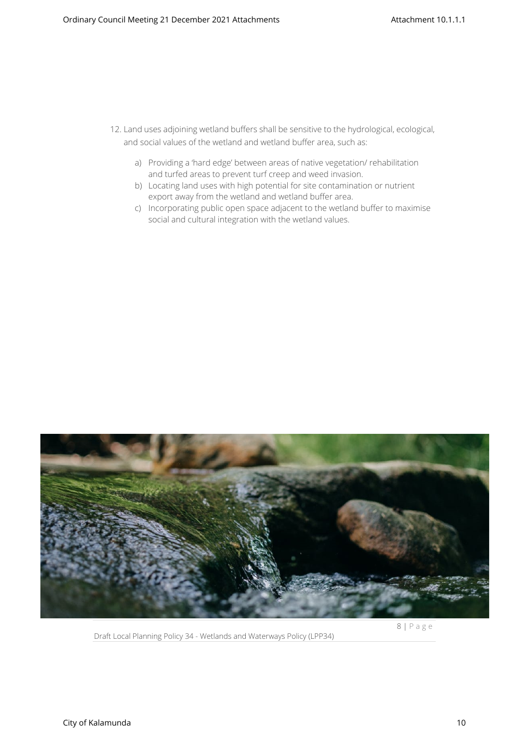- 12. Land uses adjoining wetland buffers shall be sensitive to the hydrological, ecological, and social values of the wetland and wetland buffer area, such as:
	- a) Providing a 'hard edge' between areas of native vegetation/ rehabilitation and turfed areas to prevent turf creep and weed invasion.
	- b) Locating land uses with high potential for site contamination or nutrient export away from the wetland and wetland buffer area.
	- c) Incorporating public open space adjacent to the wetland buffer to maximise social and cultural integration with the wetland values.

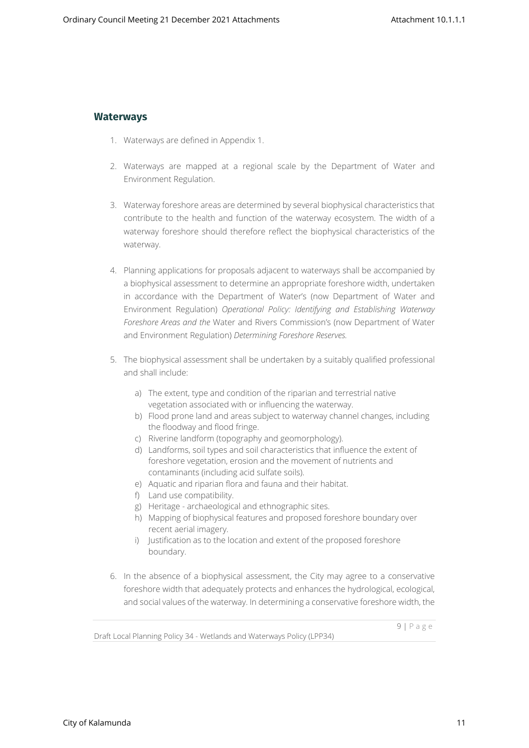### <span id="page-8-0"></span>**Waterways**

- 1. Waterways are defined in Appendix 1.
- 2. Waterways are mapped at a regional scale by the Department of Water and Environment Regulation.
- 3. Waterway foreshore areas are determined by several biophysical characteristics that contribute to the health and function of the waterway ecosystem. The width of a waterway foreshore should therefore reflect the biophysical characteristics of the waterway.
- 4. Planning applications for proposals adjacent to waterways shall be accompanied by a biophysical assessment to determine an appropriate foreshore width, undertaken in accordance with the Department of Water's (now Department of Water and Environment Regulation) *Operational Policy: Identifying and Establishing Waterway Foreshore Areas and the* Water and Rivers Commission's (now Department of Water and Environment Regulation) *Determining Foreshore Reserves.*
- 5. The biophysical assessment shall be undertaken by a suitably qualified professional and shall include:
	- a) The extent, type and condition of the riparian and terrestrial native vegetation associated with or influencing the waterway.
	- b) Flood prone land and areas subject to waterway channel changes, including the floodway and flood fringe.
	- c) Riverine landform (topography and geomorphology).
	- d) Landforms, soil types and soil characteristics that influence the extent of foreshore vegetation, erosion and the movement of nutrients and contaminants (including acid sulfate soils).
	- e) Aquatic and riparian flora and fauna and their habitat.
	- f) Land use compatibility.
	- g) Heritage archaeological and ethnographic sites.
	- h) Mapping of biophysical features and proposed foreshore boundary over recent aerial imagery.
	- i) Justification as to the location and extent of the proposed foreshore boundary.
- 6. In the absence of a biophysical assessment, the City may agree to a conservative foreshore width that adequately protects and enhances the hydrological, ecological, and social values of the waterway. In determining a conservative foreshore width, the

Draft Local Planning Policy 34 - Wetlands and Waterways Policy (LPP34)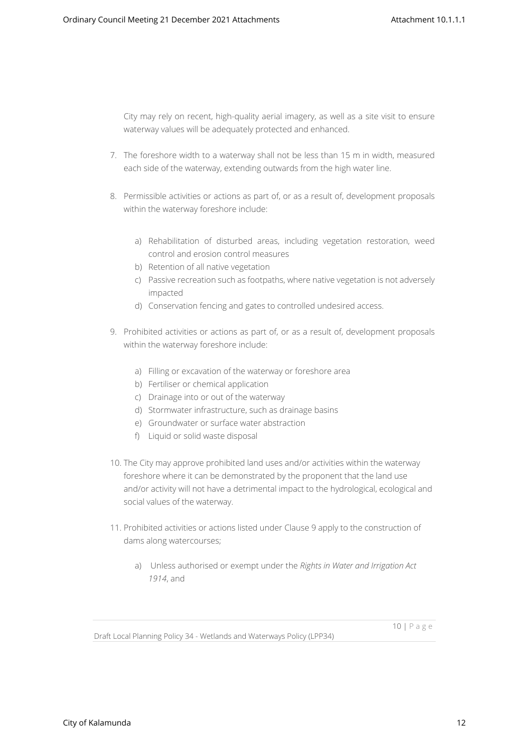City may rely on recent, high-quality aerial imagery, as well as a site visit to ensure waterway values will be adequately protected and enhanced.

- 7. The foreshore width to a waterway shall not be less than 15 m in width, measured each side of the waterway, extending outwards from the high water line.
- 8. Permissible activities or actions as part of, or as a result of, development proposals within the waterway foreshore include:
	- a) Rehabilitation of disturbed areas, including vegetation restoration, weed control and erosion control measures
	- b) Retention of all native vegetation
	- c) Passive recreation such as footpaths, where native vegetation is not adversely impacted
	- d) Conservation fencing and gates to controlled undesired access.
- 9. Prohibited activities or actions as part of, or as a result of, development proposals within the waterway foreshore include:
	- a) Filling or excavation of the waterway or foreshore area
	- b) Fertiliser or chemical application
	- c) Drainage into or out of the waterway
	- d) Stormwater infrastructure, such as drainage basins
	- e) Groundwater or surface water abstraction
	- f) Liquid or solid waste disposal
- 10. The City may approve prohibited land uses and/or activities within the waterway foreshore where it can be demonstrated by the proponent that the land use and/or activity will not have a detrimental impact to the hydrological, ecological and social values of the waterway.
- 11. Prohibited activities or actions listed under Clause 9 apply to the construction of dams along watercourses;
	- a) Unless authorised or exempt under the *Rights in Water and Irrigation Act 1914*, and

Draft Local Planning Policy 34 - Wetlands and Waterways Policy (LPP34)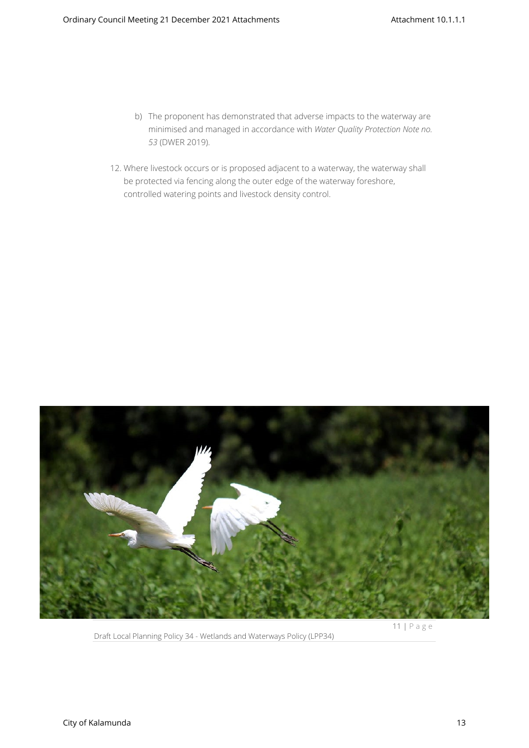- b) The proponent has demonstrated that adverse impacts to the waterway are minimised and managed in accordance with *Water Quality Protection Note no. 53* (DWER 2019).
- 12. Where livestock occurs or is proposed adjacent to a waterway, the waterway shall be protected via fencing along the outer edge of the waterway foreshore, controlled watering points and livestock density control.

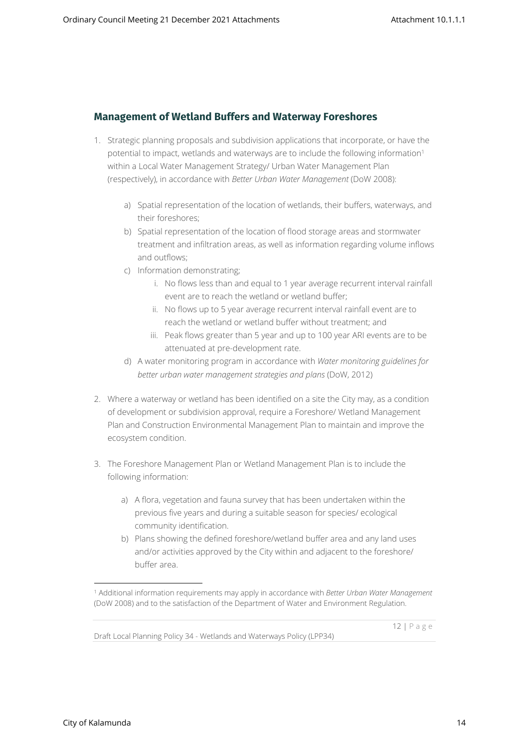## <span id="page-11-0"></span>**Management of Wetland Buffers and Waterway Foreshores**

- 1. Strategic planning proposals and subdivision applications that incorporate, or have the potential to impact, wetlands and waterways are to include the following information<sup>1</sup> within a Local Water Management Strategy/ Urban Water Management Plan (respectively), in accordance with *Better Urban Water Management* (DoW 2008):
	- a) Spatial representation of the location of wetlands, their buffers, waterways, and their foreshores;
	- b) Spatial representation of the location of flood storage areas and stormwater treatment and infiltration areas, as well as information regarding volume inflows and outflows;
	- c) Information demonstrating;
		- i. No flows less than and equal to 1 year average recurrent interval rainfall event are to reach the wetland or wetland buffer;
		- ii. No flows up to 5 year average recurrent interval rainfall event are to reach the wetland or wetland buffer without treatment; and
		- iii. Peak flows greater than 5 year and up to 100 year ARI events are to be attenuated at pre-development rate.
	- d) A water monitoring program in accordance with *Water monitoring guidelines for better urban water management strategies and plans* (DoW, 2012)
- 2. Where a waterway or wetland has been identified on a site the City may, as a condition of development or subdivision approval, require a Foreshore/ Wetland Management Plan and Construction Environmental Management Plan to maintain and improve the ecosystem condition.
- 3. The Foreshore Management Plan or Wetland Management Plan is to include the following information:
	- a) A flora, vegetation and fauna survey that has been undertaken within the previous five years and during a suitable season for species/ ecological community identification.
	- b) Plans showing the defined foreshore/wetland buffer area and any land uses and/or activities approved by the City within and adjacent to the foreshore/ buffer area.

Draft Local Planning Policy 34 - Wetlands and Waterways Policy (LPP34)

<sup>1</sup> Additional information requirements may apply in accordance with *Better Urban Water Management*  (DoW 2008) and to the satisfaction of the Department of Water and Environment Regulation.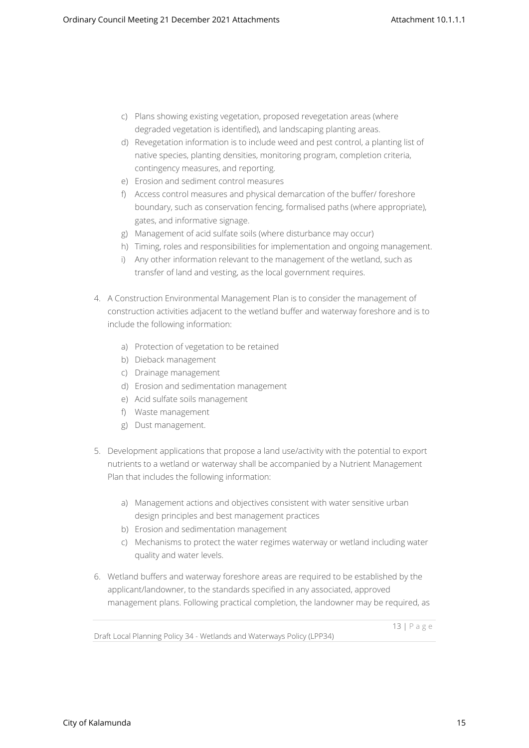- c) Plans showing existing vegetation, proposed revegetation areas (where degraded vegetation is identified), and landscaping planting areas.
- d) Revegetation information is to include weed and pest control, a planting list of native species, planting densities, monitoring program, completion criteria, contingency measures, and reporting.
- e) Erosion and sediment control measures
- f) Access control measures and physical demarcation of the buffer/ foreshore boundary, such as conservation fencing, formalised paths (where appropriate), gates, and informative signage.
- g) Management of acid sulfate soils (where disturbance may occur)
- h) Timing, roles and responsibilities for implementation and ongoing management.
- i) Any other information relevant to the management of the wetland, such as transfer of land and vesting, as the local government requires.
- 4. A Construction Environmental Management Plan is to consider the management of construction activities adjacent to the wetland buffer and waterway foreshore and is to include the following information:
	- a) Protection of vegetation to be retained
	- b) Dieback management
	- c) Drainage management
	- d) Erosion and sedimentation management
	- e) Acid sulfate soils management
	- f) Waste management
	- g) Dust management.
- 5. Development applications that propose a land use/activity with the potential to export nutrients to a wetland or waterway shall be accompanied by a Nutrient Management Plan that includes the following information:
	- a) Management actions and objectives consistent with water sensitive urban design principles and best management practices
	- b) Erosion and sedimentation management
	- c) Mechanisms to protect the water regimes waterway or wetland including water quality and water levels.
- 6. Wetland buffers and waterway foreshore areas are required to be established by the applicant/landowner, to the standards specified in any associated, approved management plans. Following practical completion, the landowner may be required, as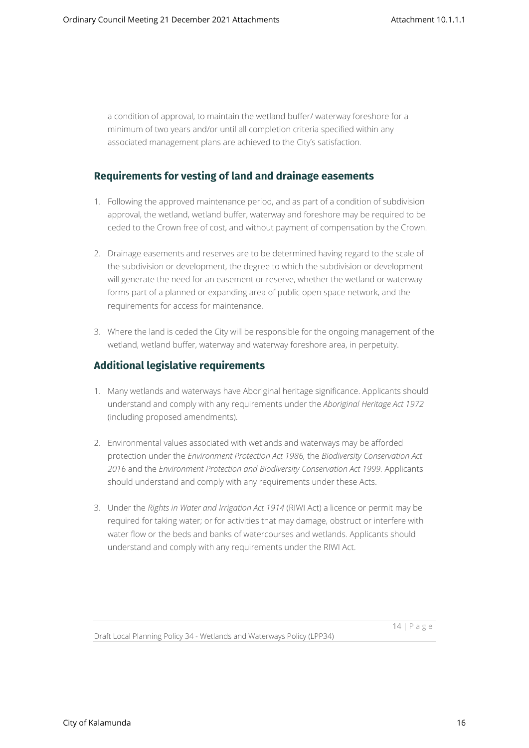a condition of approval, to maintain the wetland buffer/ waterway foreshore for a minimum of two years and/or until all completion criteria specified within any associated management plans are achieved to the City's satisfaction.

## <span id="page-13-0"></span>**Requirements for vesting of land and drainage easements**

- 1. Following the approved maintenance period, and as part of a condition of subdivision approval, the wetland, wetland buffer, waterway and foreshore may be required to be ceded to the Crown free of cost, and without payment of compensation by the Crown.
- 2. Drainage easements and reserves are to be determined having regard to the scale of the subdivision or development, the degree to which the subdivision or development will generate the need for an easement or reserve, whether the wetland or waterway forms part of a planned or expanding area of public open space network, and the requirements for access for maintenance.
- 3. Where the land is ceded the City will be responsible for the ongoing management of the wetland, wetland buffer, waterway and waterway foreshore area, in perpetuity.

## <span id="page-13-1"></span>**Additional legislative requirements**

- 1. Many wetlands and waterways have Aboriginal heritage significance. Applicants should understand and comply with any requirements under the *Aboriginal Heritage Act 1972* (including proposed amendments).
- 2. Environmental values associated with wetlands and waterways may be afforded protection under the *Environment Protection Act 1986,* the *Biodiversity Conservation Act 2016* and the *Environment Protection and Biodiversity Conservation Act 1999.* Applicants should understand and comply with any requirements under these Acts.
- 3. Under the *Rights in Water and Irrigation Act 1914* (RIWI Act) a licence or permit may be required for taking water; or for activities that may damage, obstruct or interfere with water flow or the beds and banks of watercourses and wetlands. Applicants should understand and comply with any requirements under the RIWI Act.

Draft Local Planning Policy 34 - Wetlands and Waterways Policy (LPP34)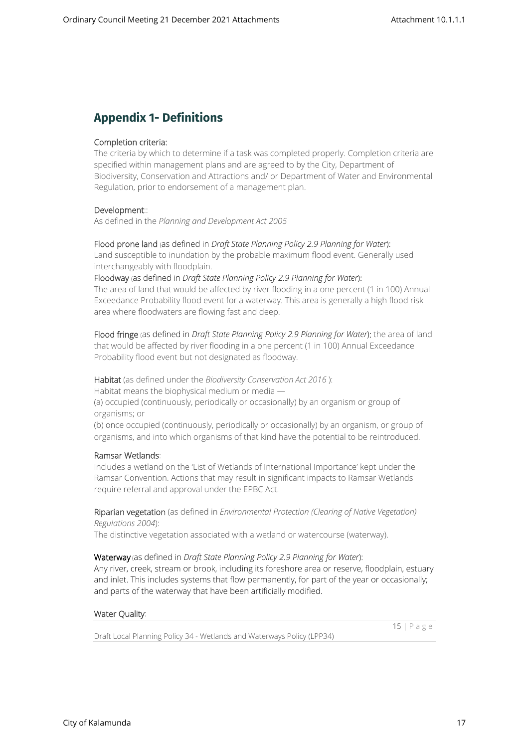# <span id="page-14-0"></span>**Appendix 1- Definitions**

### **Completion criteria:**

The criteria by which to determine if a task was completed properly. Completion criteria are specified within management plans and are agreed to by the City, Department of Biodiversity, Conservation and Attractions and/ or Department of Water and Environmental Regulation, prior to endorsement of a management plan.

### **Development**::

As defined in the *Planning and Development Act 2005*

**Flood prone land** (as defined in *Draft State Planning Policy 2.9 Planning for Water*): Land susceptible to inundation by the probable maximum flood event. Generally used interchangeably with floodplain.

**Floodway** (as defined in *Draft State Planning Policy 2.9 Planning for Water*)**:** The area of land that would be affected by river flooding in a one percent (1 in 100) Annual Exceedance Probability flood event for a waterway. This area is generally a high flood risk area where floodwaters are flowing fast and deep.

**Flood fringe** (as defined in *Draft State Planning Policy 2.9 Planning for Water*)**:** the area of land that would be affected by river flooding in a one percent (1 in 100) Annual Exceedance Probability flood event but not designated as floodway.

**Habitat** (as defined under the *Biodiversity Conservation Act 2016* ): Habitat means the biophysical medium or media — (a) occupied (continuously, periodically or occasionally) by an organism or group of organisms; or (b) once occupied (continuously, periodically or occasionally) by an organism, or group of organisms, and into which organisms of that kind have the potential to be reintroduced.

#### **Ramsar Wetlands**:

Includes a wetland on the 'List of Wetlands of International Importance' kept under the Ramsar Convention. Actions that may result in significant impacts to Ramsar Wetlands require referral and approval under the EPBC Act.

**Riparian vegetation** (as defined in*Environmental Protection (Clearing of Native Vegetation) Regulations 2004*):

The distinctive vegetation associated with a wetland or watercourse (waterway).

#### **Waterway** (as defined in *Draft State Planning Policy 2.9 Planning for Water*):

Any river, creek, stream or brook, including its foreshore area or reserve, floodplain, estuary and inlet. This includes systems that flow permanently, for part of the year or occasionally; and parts of the waterway that have been artificially modified.

#### **Water Quality**:

Draft Local Planning Policy 34 - Wetlands and Waterways Policy (LPP34)